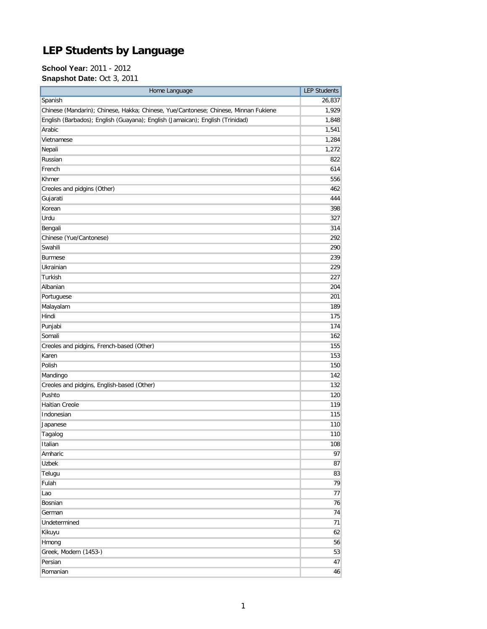## **LEP Students by Language**

**School Year:** 2011 - 2012 **Snapshot Date:** Oct 3, 2011

| Home Language                                                                       | <b>LEP Students</b> |
|-------------------------------------------------------------------------------------|---------------------|
| Spanish                                                                             | 26,837              |
| Chinese (Mandarin); Chinese, Hakka; Chinese, Yue/Cantonese; Chinese, Minnan Fukiene | 1,929               |
| English (Barbados); English (Guayana); English (Jamaican); English (Trinidad)       | 1,848               |
| Arabic                                                                              | 1,541               |
| Vietnamese                                                                          | 1,284               |
| Nepali                                                                              | 1,272               |
| Russian                                                                             | 822                 |
| French                                                                              | 614                 |
| Khmer                                                                               | 556                 |
| Creoles and pidgins (Other)                                                         | 462                 |
| Gujarati                                                                            | 444                 |
| Korean                                                                              | 398                 |
| Urdu                                                                                | 327                 |
| Bengali                                                                             | 314                 |
| Chinese (Yue/Cantonese)                                                             | 292                 |
| Swahili                                                                             | 290                 |
| <b>Burmese</b>                                                                      | 239                 |
| Ukrainian                                                                           | 229                 |
| Turkish                                                                             | 227                 |
| Albanian                                                                            | 204                 |
| Portuguese                                                                          | 201                 |
| Malayalam                                                                           | 189                 |
| Hindi                                                                               | 175                 |
| Punjabi                                                                             | 174                 |
| Somali                                                                              | 162                 |
| Creoles and pidgins, French-based (Other)                                           | 155                 |
| Karen                                                                               | 153                 |
| Polish                                                                              | 150                 |
| Mandingo                                                                            | 142                 |
| Creoles and pidgins, English-based (Other)                                          | 132                 |
| Pushto                                                                              | 120                 |
| <b>Haitian Creole</b>                                                               | 119                 |
| Indonesian                                                                          | 115                 |
| Japanese                                                                            | 110                 |
| Tagalog                                                                             | 110                 |
| Italian                                                                             | 108                 |
| Amharic                                                                             | 97                  |
| <b>Uzbek</b>                                                                        | 87                  |
| Telugu                                                                              | 83                  |
| Fulah                                                                               | 79                  |
| Lao                                                                                 | 77                  |
| Bosnian                                                                             | 76                  |
| German                                                                              | 74                  |
| Undetermined                                                                        | 71                  |
| Kikuyu                                                                              | 62                  |
| Hmong                                                                               | 56                  |
| Greek, Modern (1453-)                                                               | 53                  |
| Persian                                                                             | 47                  |
| Romanian                                                                            | 46                  |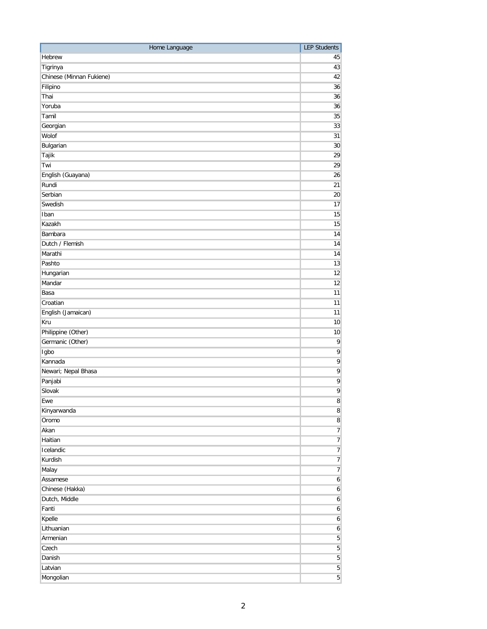| Hebrew<br>45<br>Tigrinya<br>43<br>Chinese (Minnan Fukiene)<br>42<br>Filipino<br>36<br>Thai<br>36<br>Yoruba<br>36<br>Tamil<br>35<br>Georgian<br>33<br>Wolof<br>31<br>Bulgarian<br>30<br>Tajik<br>29<br>Twi<br>29<br>English (Guayana)<br>26<br>Rundi<br>21<br>Serbian<br>20<br>Swedish<br>17<br>15<br>Iban<br>Kazakh<br>15<br>Bambara<br>14<br>Dutch / Flemish<br>14<br>Marathi<br>14<br>Pashto<br>13<br>12<br>Hungarian<br>Mandar<br>12<br>Basa<br>11<br>Croatian<br>11<br>English (Jamaican)<br>11<br>Kru<br>10<br>Philippine (Other)<br>10<br>Germanic (Other)<br>9<br>Igbo<br>9<br>9<br>Kannada<br>$\overline{9}$<br>Newari; Nepal Bhasa<br>$\overline{9}$<br>Panjabi<br>Slovak<br>9<br>Ewe<br>$\bf 8$<br>$\bf 8$<br>Kinyarwanda<br>Oromo<br>$\bf 8$<br>Akan<br>$\overline{7}$<br>$\overline{7}$<br>Haitian<br>Icelandic<br>$\overline{7}$<br>Kurdish<br>$\overline{7}$<br>Malay<br>$\overline{7}$<br>Assamese<br>$\boldsymbol{6}$<br>Chinese (Hakka)<br>6<br>Dutch, Middle<br>$\boldsymbol{6}$<br>Fanti<br>$\boldsymbol{6}$<br>Kpelle<br>$\boldsymbol{6}$<br>Lithuanian<br>$6 \mid$<br>$\overline{5}$<br>Armenian<br>Czech<br>$\sqrt{5}$<br>$\overline{5}$<br>Danish<br>$\overline{5}$<br>Latvian | Home Language | <b>LEP Students</b> |
|-------------------------------------------------------------------------------------------------------------------------------------------------------------------------------------------------------------------------------------------------------------------------------------------------------------------------------------------------------------------------------------------------------------------------------------------------------------------------------------------------------------------------------------------------------------------------------------------------------------------------------------------------------------------------------------------------------------------------------------------------------------------------------------------------------------------------------------------------------------------------------------------------------------------------------------------------------------------------------------------------------------------------------------------------------------------------------------------------------------------------------------------------------------------------------------------------------|---------------|---------------------|
|                                                                                                                                                                                                                                                                                                                                                                                                                                                                                                                                                                                                                                                                                                                                                                                                                                                                                                                                                                                                                                                                                                                                                                                                       |               |                     |
|                                                                                                                                                                                                                                                                                                                                                                                                                                                                                                                                                                                                                                                                                                                                                                                                                                                                                                                                                                                                                                                                                                                                                                                                       |               |                     |
|                                                                                                                                                                                                                                                                                                                                                                                                                                                                                                                                                                                                                                                                                                                                                                                                                                                                                                                                                                                                                                                                                                                                                                                                       |               |                     |
|                                                                                                                                                                                                                                                                                                                                                                                                                                                                                                                                                                                                                                                                                                                                                                                                                                                                                                                                                                                                                                                                                                                                                                                                       |               |                     |
|                                                                                                                                                                                                                                                                                                                                                                                                                                                                                                                                                                                                                                                                                                                                                                                                                                                                                                                                                                                                                                                                                                                                                                                                       |               |                     |
|                                                                                                                                                                                                                                                                                                                                                                                                                                                                                                                                                                                                                                                                                                                                                                                                                                                                                                                                                                                                                                                                                                                                                                                                       |               |                     |
|                                                                                                                                                                                                                                                                                                                                                                                                                                                                                                                                                                                                                                                                                                                                                                                                                                                                                                                                                                                                                                                                                                                                                                                                       |               |                     |
|                                                                                                                                                                                                                                                                                                                                                                                                                                                                                                                                                                                                                                                                                                                                                                                                                                                                                                                                                                                                                                                                                                                                                                                                       |               |                     |
|                                                                                                                                                                                                                                                                                                                                                                                                                                                                                                                                                                                                                                                                                                                                                                                                                                                                                                                                                                                                                                                                                                                                                                                                       |               |                     |
|                                                                                                                                                                                                                                                                                                                                                                                                                                                                                                                                                                                                                                                                                                                                                                                                                                                                                                                                                                                                                                                                                                                                                                                                       |               |                     |
|                                                                                                                                                                                                                                                                                                                                                                                                                                                                                                                                                                                                                                                                                                                                                                                                                                                                                                                                                                                                                                                                                                                                                                                                       |               |                     |
|                                                                                                                                                                                                                                                                                                                                                                                                                                                                                                                                                                                                                                                                                                                                                                                                                                                                                                                                                                                                                                                                                                                                                                                                       |               |                     |
|                                                                                                                                                                                                                                                                                                                                                                                                                                                                                                                                                                                                                                                                                                                                                                                                                                                                                                                                                                                                                                                                                                                                                                                                       |               |                     |
|                                                                                                                                                                                                                                                                                                                                                                                                                                                                                                                                                                                                                                                                                                                                                                                                                                                                                                                                                                                                                                                                                                                                                                                                       |               |                     |
|                                                                                                                                                                                                                                                                                                                                                                                                                                                                                                                                                                                                                                                                                                                                                                                                                                                                                                                                                                                                                                                                                                                                                                                                       |               |                     |
|                                                                                                                                                                                                                                                                                                                                                                                                                                                                                                                                                                                                                                                                                                                                                                                                                                                                                                                                                                                                                                                                                                                                                                                                       |               |                     |
|                                                                                                                                                                                                                                                                                                                                                                                                                                                                                                                                                                                                                                                                                                                                                                                                                                                                                                                                                                                                                                                                                                                                                                                                       |               |                     |
|                                                                                                                                                                                                                                                                                                                                                                                                                                                                                                                                                                                                                                                                                                                                                                                                                                                                                                                                                                                                                                                                                                                                                                                                       |               |                     |
|                                                                                                                                                                                                                                                                                                                                                                                                                                                                                                                                                                                                                                                                                                                                                                                                                                                                                                                                                                                                                                                                                                                                                                                                       |               |                     |
|                                                                                                                                                                                                                                                                                                                                                                                                                                                                                                                                                                                                                                                                                                                                                                                                                                                                                                                                                                                                                                                                                                                                                                                                       |               |                     |
|                                                                                                                                                                                                                                                                                                                                                                                                                                                                                                                                                                                                                                                                                                                                                                                                                                                                                                                                                                                                                                                                                                                                                                                                       |               |                     |
|                                                                                                                                                                                                                                                                                                                                                                                                                                                                                                                                                                                                                                                                                                                                                                                                                                                                                                                                                                                                                                                                                                                                                                                                       |               |                     |
|                                                                                                                                                                                                                                                                                                                                                                                                                                                                                                                                                                                                                                                                                                                                                                                                                                                                                                                                                                                                                                                                                                                                                                                                       |               |                     |
|                                                                                                                                                                                                                                                                                                                                                                                                                                                                                                                                                                                                                                                                                                                                                                                                                                                                                                                                                                                                                                                                                                                                                                                                       |               |                     |
|                                                                                                                                                                                                                                                                                                                                                                                                                                                                                                                                                                                                                                                                                                                                                                                                                                                                                                                                                                                                                                                                                                                                                                                                       |               |                     |
|                                                                                                                                                                                                                                                                                                                                                                                                                                                                                                                                                                                                                                                                                                                                                                                                                                                                                                                                                                                                                                                                                                                                                                                                       |               |                     |
|                                                                                                                                                                                                                                                                                                                                                                                                                                                                                                                                                                                                                                                                                                                                                                                                                                                                                                                                                                                                                                                                                                                                                                                                       |               |                     |
|                                                                                                                                                                                                                                                                                                                                                                                                                                                                                                                                                                                                                                                                                                                                                                                                                                                                                                                                                                                                                                                                                                                                                                                                       |               |                     |
|                                                                                                                                                                                                                                                                                                                                                                                                                                                                                                                                                                                                                                                                                                                                                                                                                                                                                                                                                                                                                                                                                                                                                                                                       |               |                     |
|                                                                                                                                                                                                                                                                                                                                                                                                                                                                                                                                                                                                                                                                                                                                                                                                                                                                                                                                                                                                                                                                                                                                                                                                       |               |                     |
|                                                                                                                                                                                                                                                                                                                                                                                                                                                                                                                                                                                                                                                                                                                                                                                                                                                                                                                                                                                                                                                                                                                                                                                                       |               |                     |
|                                                                                                                                                                                                                                                                                                                                                                                                                                                                                                                                                                                                                                                                                                                                                                                                                                                                                                                                                                                                                                                                                                                                                                                                       |               |                     |
|                                                                                                                                                                                                                                                                                                                                                                                                                                                                                                                                                                                                                                                                                                                                                                                                                                                                                                                                                                                                                                                                                                                                                                                                       |               |                     |
|                                                                                                                                                                                                                                                                                                                                                                                                                                                                                                                                                                                                                                                                                                                                                                                                                                                                                                                                                                                                                                                                                                                                                                                                       |               |                     |
|                                                                                                                                                                                                                                                                                                                                                                                                                                                                                                                                                                                                                                                                                                                                                                                                                                                                                                                                                                                                                                                                                                                                                                                                       |               |                     |
|                                                                                                                                                                                                                                                                                                                                                                                                                                                                                                                                                                                                                                                                                                                                                                                                                                                                                                                                                                                                                                                                                                                                                                                                       |               |                     |
|                                                                                                                                                                                                                                                                                                                                                                                                                                                                                                                                                                                                                                                                                                                                                                                                                                                                                                                                                                                                                                                                                                                                                                                                       |               |                     |
|                                                                                                                                                                                                                                                                                                                                                                                                                                                                                                                                                                                                                                                                                                                                                                                                                                                                                                                                                                                                                                                                                                                                                                                                       |               |                     |
|                                                                                                                                                                                                                                                                                                                                                                                                                                                                                                                                                                                                                                                                                                                                                                                                                                                                                                                                                                                                                                                                                                                                                                                                       |               |                     |
|                                                                                                                                                                                                                                                                                                                                                                                                                                                                                                                                                                                                                                                                                                                                                                                                                                                                                                                                                                                                                                                                                                                                                                                                       |               |                     |
|                                                                                                                                                                                                                                                                                                                                                                                                                                                                                                                                                                                                                                                                                                                                                                                                                                                                                                                                                                                                                                                                                                                                                                                                       |               |                     |
|                                                                                                                                                                                                                                                                                                                                                                                                                                                                                                                                                                                                                                                                                                                                                                                                                                                                                                                                                                                                                                                                                                                                                                                                       |               |                     |
|                                                                                                                                                                                                                                                                                                                                                                                                                                                                                                                                                                                                                                                                                                                                                                                                                                                                                                                                                                                                                                                                                                                                                                                                       |               |                     |
|                                                                                                                                                                                                                                                                                                                                                                                                                                                                                                                                                                                                                                                                                                                                                                                                                                                                                                                                                                                                                                                                                                                                                                                                       |               |                     |
|                                                                                                                                                                                                                                                                                                                                                                                                                                                                                                                                                                                                                                                                                                                                                                                                                                                                                                                                                                                                                                                                                                                                                                                                       |               |                     |
|                                                                                                                                                                                                                                                                                                                                                                                                                                                                                                                                                                                                                                                                                                                                                                                                                                                                                                                                                                                                                                                                                                                                                                                                       |               |                     |
|                                                                                                                                                                                                                                                                                                                                                                                                                                                                                                                                                                                                                                                                                                                                                                                                                                                                                                                                                                                                                                                                                                                                                                                                       |               |                     |
|                                                                                                                                                                                                                                                                                                                                                                                                                                                                                                                                                                                                                                                                                                                                                                                                                                                                                                                                                                                                                                                                                                                                                                                                       |               |                     |
|                                                                                                                                                                                                                                                                                                                                                                                                                                                                                                                                                                                                                                                                                                                                                                                                                                                                                                                                                                                                                                                                                                                                                                                                       |               |                     |
|                                                                                                                                                                                                                                                                                                                                                                                                                                                                                                                                                                                                                                                                                                                                                                                                                                                                                                                                                                                                                                                                                                                                                                                                       |               |                     |
|                                                                                                                                                                                                                                                                                                                                                                                                                                                                                                                                                                                                                                                                                                                                                                                                                                                                                                                                                                                                                                                                                                                                                                                                       |               |                     |
|                                                                                                                                                                                                                                                                                                                                                                                                                                                                                                                                                                                                                                                                                                                                                                                                                                                                                                                                                                                                                                                                                                                                                                                                       |               |                     |
|                                                                                                                                                                                                                                                                                                                                                                                                                                                                                                                                                                                                                                                                                                                                                                                                                                                                                                                                                                                                                                                                                                                                                                                                       |               |                     |
|                                                                                                                                                                                                                                                                                                                                                                                                                                                                                                                                                                                                                                                                                                                                                                                                                                                                                                                                                                                                                                                                                                                                                                                                       | Mongolian     | $\overline{5}$      |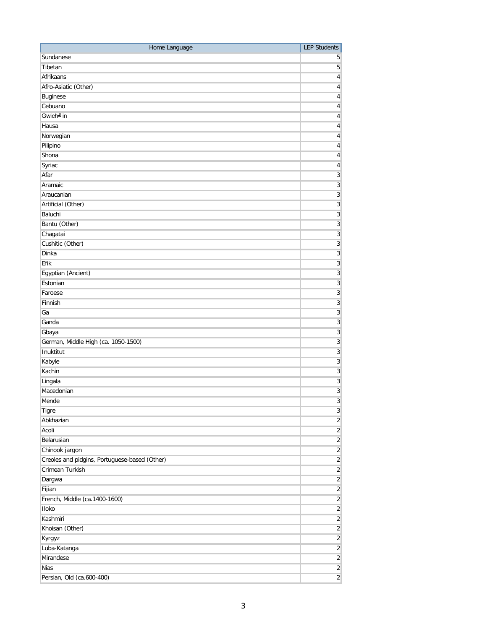| Home Language                                 | <b>LEP Students</b>       |
|-----------------------------------------------|---------------------------|
| Sundanese                                     | 5                         |
| Tibetan                                       | 5                         |
| Afrikaans                                     | $\overline{4}$            |
| Afro-Asiatic (Other)                          | 4                         |
| <b>Buginese</b>                               | $\overline{4}$            |
| Cebuano                                       | 4                         |
| Gwich <sup>J</sup> in                         | 4                         |
| Hausa                                         | 4                         |
| Norwegian                                     | 4                         |
| Pilipino                                      | 4                         |
| Shona                                         | 4                         |
| Syriac                                        | 4                         |
| Afar                                          | $\overline{3}$            |
| Aramaic                                       | $\overline{3}$            |
| Araucanian                                    | $\overline{3}$            |
| Artificial (Other)                            | $\overline{3}$            |
| Baluchi                                       | $\overline{3}$            |
|                                               | $\overline{3}$            |
| Bantu (Other)                                 |                           |
| Chagatai                                      | $\overline{3}$            |
| Cushitic (Other)                              | $\overline{3}$            |
| Dinka                                         | $\overline{3}$            |
| Efik                                          | $\overline{3}$            |
| Egyptian (Ancient)                            | $\ensuremath{\mathsf{3}}$ |
| Estonian                                      | $\overline{3}$            |
| Faroese                                       | $\overline{3}$            |
| Finnish                                       | $\overline{3}$            |
| Ga                                            | $\overline{3}$            |
| Ganda                                         | $\overline{3}$            |
| Gbaya                                         | $\overline{3}$            |
| German, Middle High (ca. 1050-1500)           | $\overline{3}$            |
| Inuktitut                                     | $\overline{3}$            |
| Kabyle                                        | $\overline{3}$            |
| Kachin                                        | $\overline{3}$            |
| Lingala                                       | $\overline{3}$            |
| Macedonian                                    | $\ensuremath{\mathsf{3}}$ |
| Mende                                         | $\overline{3}$            |
| Tigre                                         | $\overline{3}$            |
| Abkhazian                                     | $\overline{2}$            |
| Acoli                                         | $\overline{2}$            |
| Belarusian                                    | $\overline{c}$            |
| Chinook jargon                                | $\overline{2}$            |
| Creoles and pidgins, Portuguese-based (Other) | $\overline{c}$            |
| Crimean Turkish                               | $\overline{2}$            |
| Dargwa                                        | $\overline{2}$            |
| Fijian                                        | $\overline{2}$            |
| French, Middle (ca.1400-1600)                 | $\overline{2}$            |
| Iloko                                         | $\overline{2}$            |
| Kashmiri                                      | $\overline{c}$            |
| Khoisan (Other)                               | $\overline{2}$            |
| Kyrgyz                                        | $\overline{2}$            |
| Luba-Katanga                                  | $\overline{2}$            |
| Mirandese                                     | $\overline{2}$            |
| <b>Nias</b>                                   | $\overline{2}$            |
|                                               |                           |
| Persian, Old (ca.600-400)                     | $\overline{2}$            |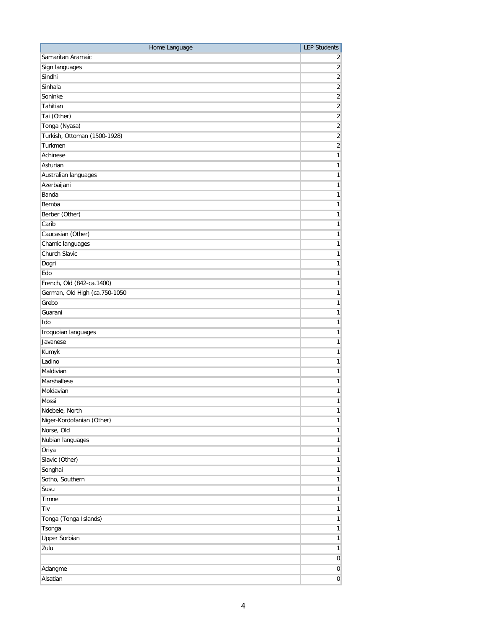| Home Language                 | <b>LEP Students</b>     |
|-------------------------------|-------------------------|
| Samaritan Aramaic             | $\overline{2}$          |
| Sign languages                | $\overline{2}$          |
| Sindhi                        | $\overline{2}$          |
| Sinhala                       | $\overline{2}$          |
| Soninke                       | $\overline{2}$          |
| Tahitian                      | $\overline{2}$          |
| Tai (Other)                   | $\overline{2}$          |
| Tonga (Nyasa)                 | $\overline{2}$          |
| Turkish, Ottoman (1500-1928)  | $\overline{2}$          |
| Turkmen                       | $\overline{\mathbf{c}}$ |
| Achinese                      | $\mathbf{1}$            |
| Asturian                      | $\mathbf{1}$            |
| Australian languages          | $\mathbf{1}$            |
| Azerbaijani                   | $\mathbf{1}$            |
| Banda                         | 1                       |
| Bemba                         | 1                       |
| Berber (Other)                | 1                       |
| Carib                         | 1                       |
| Caucasian (Other)             | 1                       |
| Chamic languages              | $\mathbf{1}$            |
| Church Slavic                 | $\mathbf{1}$            |
| Dogri                         | $\mathbf{1}$            |
| Edo                           | $\mathbf{1}$            |
| French, Old (842-ca.1400)     | $\mathbf{1}$            |
| German, Old High (ca.750-1050 | $\mathbf{1}$            |
| Grebo                         | $\mathbf{1}$            |
| Guarani                       | 1                       |
| Ido                           | $\mathbf{1}$            |
| Iroquoian languages           | $\mathbf{1}$            |
| Javanese                      | $\mathbf{1}$            |
| Kumyk<br>Ladino               | $\mathbf{1}$            |
| Maldivian                     | $\mathbf{1}$            |
| Marshallese                   | 1<br>$\mathbf{1}$       |
| Moldavian                     | 1                       |
| Mossi                         | 1                       |
| Ndebele, North                | $\mathbf{1}$            |
| Niger-Kordofanian (Other)     | $\mathbf{1}$            |
| Norse, Old                    | $\mathbf{1}$            |
| Nubian languages              | $\mathbf{1}$            |
| Oriya                         | $\mathbf{1}$            |
| Slavic (Other)                | $\mathbf{1}$            |
| Songhai                       | $\mathbf{1}$            |
| Sotho, Southern               | $\mathbf{1}$            |
| Susu                          | 1                       |
| Timne                         | $\mathbf{1}$            |
| Tiv                           | $\mathbf{1}$            |
| Tonga (Tonga Islands)         | $\mathbf{1}$            |
| Tsonga                        | $\mathbf{1}$            |
| <b>Upper Sorbian</b>          | $\mathbf{1}$            |
| Zulu                          | $\mathbf{1}$            |
|                               | $\pmb{0}$               |
| Adangme                       | $\pmb{0}$               |
| Alsatian                      | $\pmb{0}$               |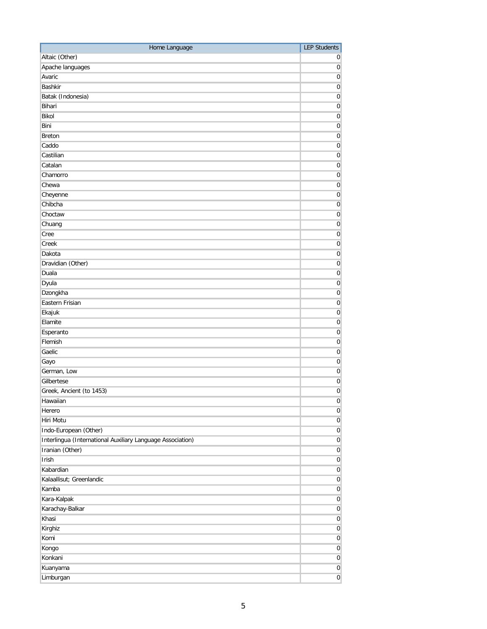| Home Language                                              | <b>LEP Students</b>   |
|------------------------------------------------------------|-----------------------|
| Altaic (Other)                                             | 0                     |
| Apache languages                                           | $\boldsymbol{0}$      |
| Avaric                                                     | 0                     |
| <b>Bashkir</b>                                             | $\boldsymbol{0}$      |
| Batak (Indonesia)                                          | $\boldsymbol{0}$      |
| Bihari                                                     | $\boldsymbol{0}$      |
| Bikol                                                      | $\boldsymbol{0}$      |
| Bini                                                       | $\boldsymbol{0}$      |
| <b>Breton</b>                                              | $\boldsymbol{0}$      |
| Caddo                                                      | $\boldsymbol{0}$      |
| Castilian                                                  | $\boldsymbol{0}$      |
| Catalan                                                    | $\boldsymbol{0}$      |
| Chamorro                                                   | $\boldsymbol{0}$      |
| Chewa                                                      | $\boldsymbol{0}$      |
| Cheyenne                                                   | $\boldsymbol{0}$      |
| Chibcha                                                    | $\overline{\text{o}}$ |
| Choctaw                                                    | $\boldsymbol{0}$      |
| Chuang                                                     | $\boldsymbol{0}$      |
| Cree                                                       | $\boldsymbol{0}$      |
| Creek                                                      | $\boldsymbol{0}$      |
| Dakota                                                     | $\boldsymbol{0}$      |
| Dravidian (Other)                                          | $\boldsymbol{0}$      |
| Duala                                                      | $\boldsymbol{0}$      |
|                                                            |                       |
| Dyula                                                      | $\boldsymbol{0}$      |
| Dzongkha                                                   | $\boldsymbol{0}$      |
| Eastern Frisian                                            | $\boldsymbol{0}$      |
| Ekajuk                                                     | $\boldsymbol{0}$      |
| Elamite                                                    | $\boldsymbol{0}$      |
| Esperanto                                                  | $\boldsymbol{0}$      |
| Flemish                                                    | $\boldsymbol{0}$      |
| Gaelic                                                     | $\boldsymbol{0}$      |
| Gayo                                                       | $\boldsymbol{0}$      |
| German, Low                                                | $\boldsymbol{0}$      |
| Gilbertese                                                 | $\boldsymbol{0}$      |
| Greek, Ancient (to 1453)                                   | $\boldsymbol{0}$      |
| Hawaiian                                                   | $\boldsymbol{0}$      |
| Herero                                                     | $\mathbf 0$           |
| Hiri Motu                                                  | $\boldsymbol{0}$      |
| Indo-European (Other)                                      | $\boldsymbol{0}$      |
| Interlingua (International Auxiliary Language Association) | $\boldsymbol{0}$      |
| Iranian (Other)                                            | 0                     |
| Irish                                                      | $\boldsymbol{0}$      |
| Kabardian                                                  | $\boldsymbol{0}$      |
| Kalaallisut; Greenlandic                                   | 0                     |
| Kamba                                                      | $\pmb{0}$             |
| Kara-Kalpak                                                | $\pmb{0}$             |
| Karachay-Balkar                                            | $\pmb{0}$             |
| Khasi                                                      | $\pmb{0}$             |
| Kirghiz                                                    | 0                     |
| Komi                                                       | $\pmb{0}$             |
| Kongo                                                      | $\pmb{0}$             |
| Konkani                                                    | $\boldsymbol{0}$      |
| Kuanyama                                                   | $\boldsymbol{0}$      |
| Limburgan                                                  | $\pmb{0}$             |